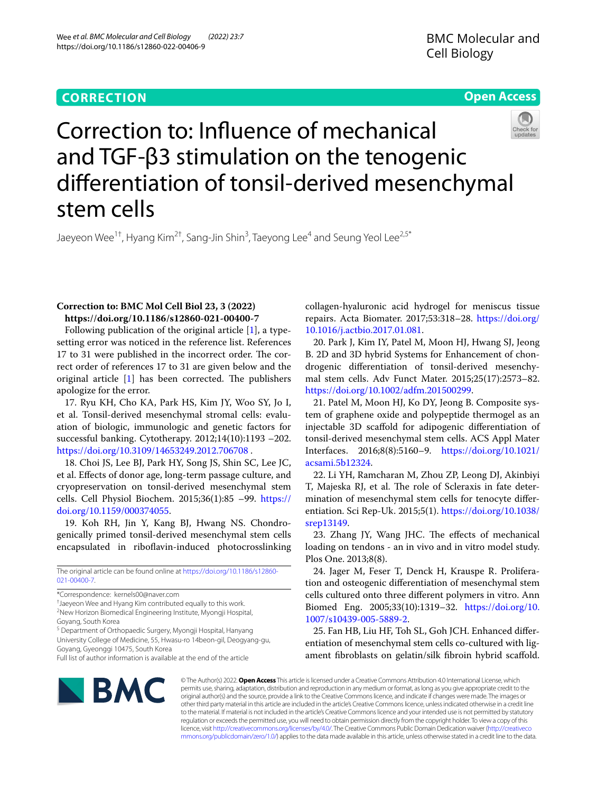# **CORRECTION**

## **Open Access**



Correction to: Infuence of mechanical and TGF-β3 stimulation on the tenogenic diferentiation of tonsil-derived mesenchymal stem cells

Jaeyeon Wee $^{1\dagger}$ , Hyang Kim $^{2\dagger}$ , Sang-Jin Shin $^3$ , Taeyong Lee $^4$  and Seung Yeol Lee $^{2,5^*}$ 

## **Correction to: BMC Mol Cell Biol 23, 3 (2022) https://doi.org/10.1186/s12860-021-00400-7**

Following publication of the original article [[1\]](#page-1-0), a typesetting error was noticed in the reference list. References 17 to 31 were published in the incorrect order. The correct order of references 17 to 31 are given below and the original article  $[1]$  $[1]$  has been corrected. The publishers apologize for the error.

17. Ryu KH, Cho KA, Park HS, Kim JY, Woo SY, Jo I, et al. Tonsil-derived mesenchymal stromal cells: evaluation of biologic, immunologic and genetic factors for successful banking. Cytotherapy. 2012;14(10):1193 –202. <https://doi.org/10.3109/14653249.2012.706708>.

18. Choi JS, Lee BJ, Park HY, Song JS, Shin SC, Lee JC, et al. Efects of donor age, long-term passage culture, and cryopreservation on tonsil-derived mesenchymal stem cells. Cell Physiol Biochem. 2015;36(1):85 –99. [https://](https://doi.org/10.1159/000374055) [doi.org/10.1159/000374055.](https://doi.org/10.1159/000374055)

19. Koh RH, Jin Y, Kang BJ, Hwang NS. Chondrogenically primed tonsil-derived mesenchymal stem cells encapsulated in riboflavin-induced photocrosslinking

The original article can be found online at [https://doi.org/10.1186/s12860-](https://doi.org/10.1186/s12860-021-00400-7) [021-00400-7](https://doi.org/10.1186/s12860-021-00400-7).

<sup>5</sup> Department of Orthopaedic Surgery, Myongji Hospital, Hanyang University College of Medicine, 55, Hwasu-ro 14beon-gil, Deogyang-gu, Goyang, Gyeonggi 10475, South Korea

collagen-hyaluronic acid hydrogel for meniscus tissue repairs. Acta Biomater. 2017;53:318–28. [https://doi.org/](https://doi.org/10.1016/j.actbio.2017.01.081) [10.1016/j.actbio.2017.01.081.](https://doi.org/10.1016/j.actbio.2017.01.081)

20. Park J, Kim IY, Patel M, Moon HJ, Hwang SJ, Jeong B. 2D and 3D hybrid Systems for Enhancement of chondrogenic diferentiation of tonsil-derived mesenchymal stem cells. Adv Funct Mater. 2015;25(17):2573–82. <https://doi.org/10.1002/adfm.201500299>.

21. Patel M, Moon HJ, Ko DY, Jeong B. Composite system of graphene oxide and polypeptide thermogel as an injectable 3D scafold for adipogenic diferentiation of tonsil-derived mesenchymal stem cells. ACS Appl Mater Interfaces. 2016;8(8):5160–9. [https://doi.org/10.1021/](https://doi.org/10.1021/acsami.5b12324) [acsami.5b12324.](https://doi.org/10.1021/acsami.5b12324)

22. Li YH, Ramcharan M, Zhou ZP, Leong DJ, Akinbiyi T, Majeska RJ, et al. The role of Scleraxis in fate determination of mesenchymal stem cells for tenocyte diferentiation. Sci Rep-Uk. 2015;5(1). [https://doi.org/10.1038/](https://doi.org/10.1038/srep13149) [srep13149.](https://doi.org/10.1038/srep13149)

23. Zhang JY, Wang JHC. The effects of mechanical loading on tendons - an in vivo and in vitro model study. Plos One. 2013;8(8).

24. Jager M, Feser T, Denck H, Krauspe R. Proliferation and osteogenic diferentiation of mesenchymal stem cells cultured onto three diferent polymers in vitro. Ann Biomed Eng. 2005;33(10):1319–32. [https://doi.org/10.](https://doi.org/10.1007/s10439-005-5889-2) [1007/s10439-005-5889-2.](https://doi.org/10.1007/s10439-005-5889-2)

25. Fan HB, Liu HF, Toh SL, Goh JCH. Enhanced diferentiation of mesenchymal stem cells co-cultured with ligament fbroblasts on gelatin/silk fbroin hybrid scafold.



© The Author(s) 2022. **Open Access** This article is licensed under a Creative Commons Attribution 4.0 International License, which permits use, sharing, adaptation, distribution and reproduction in any medium or format, as long as you give appropriate credit to the original author(s) and the source, provide a link to the Creative Commons licence, and indicate if changes were made. The images or other third party material in this article are included in the article's Creative Commons licence, unless indicated otherwise in a credit line to the material. If material is not included in the article's Creative Commons licence and your intended use is not permitted by statutory regulation or exceeds the permitted use, you will need to obtain permission directly from the copyright holder. To view a copy of this licence, visit [http://creativecommons.org/licenses/by/4.0/.](http://creativecommons.org/licenses/by/4.0/) The Creative Commons Public Domain Dedication waiver ([http://creativeco](http://creativecommons.org/publicdomain/zero/1.0/) [mmons.org/publicdomain/zero/1.0/](http://creativecommons.org/publicdomain/zero/1.0/)) applies to the data made available in this article, unless otherwise stated in a credit line to the data.

<sup>\*</sup>Correspondence: kernels00@naver.com

<sup>†</sup> Jaeyeon Wee and Hyang Kim contributed equally to this work. <sup>2</sup>New Horizon Biomedical Engineering Institute, Myongji Hospital,

Goyang, South Korea

Full list of author information is available at the end of the article